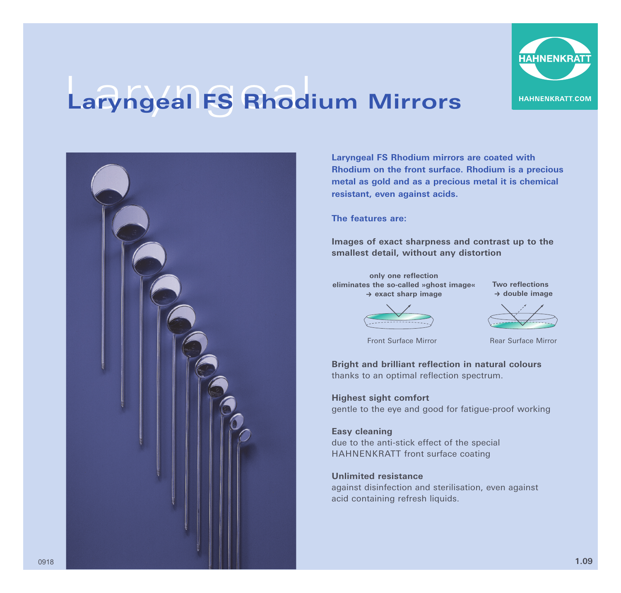

## Laryngeal **Laryngeal FS Rhodium Mirrors**



**Laryngeal FS Rhodium mirrors are coated with Rhodium on the front surface. Rhodium is a precious metal as gold and as a precious metal it is chemical resistant, even against acids.** 

**The features are:** 

**Images of exact sharpness and contrast up to the smallest detail, without any distortion**

**only one reflection eliminates the so-called »ghost image«** k **exact sharp image**

**Two reflections → double image** 



Front Surface Mirror

Rear Surface Mirror

**Bright and brilliant reflection in natural colours**  thanks to an optimal reflection spectrum.

**Highest sight comfort** gentle to the eye and good for fatigue-proof working

**Easy cleaning** due to the anti-stick effect of the special HAHNENKRATT front surface coating

**Unlimited resistance**  against disinfection and sterilisation, even against acid containing refresh liquids.